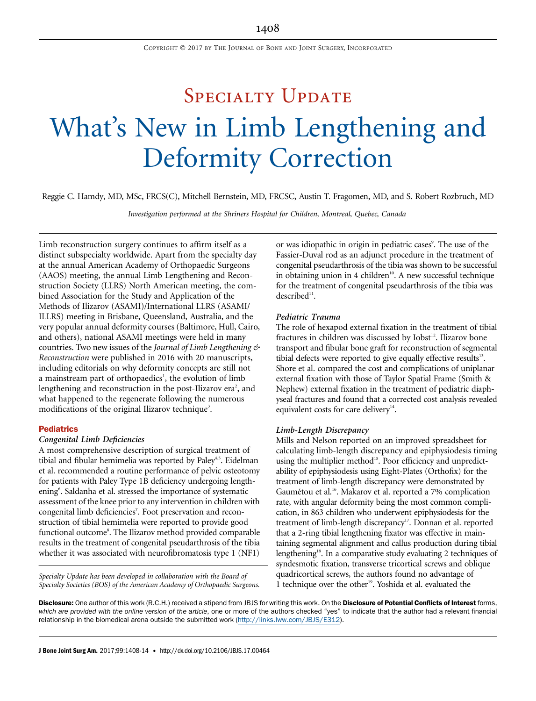# SPECIALTY UPDATE What's New in Limb Lengthening and Deformity Correction

Reggie C. Hamdy, MD, MSc, FRCS(C), Mitchell Bernstein, MD, FRCSC, Austin T. Fragomen, MD, and S. Robert Rozbruch, MD

Investigation performed at the Shriners Hospital for Children, Montreal, Quebec, Canada

Limb reconstruction surgery continues to affirm itself as a distinct subspecialty worldwide. Apart from the specialty day at the annual American Academy of Orthopaedic Surgeons (AAOS) meeting, the annual Limb Lengthening and Reconstruction Society (LLRS) North American meeting, the combined Association for the Study and Application of the Methods of Ilizarov (ASAMI)/International LLRS (ASAMI/ ILLRS) meeting in Brisbane, Queensland, Australia, and the very popular annual deformity courses (Baltimore, Hull, Cairo, and others), national ASAMI meetings were held in many countries. Two new issues of the Journal of Limb Lengthening  $\phi$ Reconstruction were published in 2016 with 20 manuscripts, including editorials on why deformity concepts are still not a mainstream part of orthopaedics<sup>1</sup>, the evolution of limb lengthening and reconstruction in the post-Ilizarov era<sup>2</sup>, and what happened to the regenerate following the numerous modifications of the original Ilizarov technique<sup>3</sup>.

#### **Pediatrics**

#### Congenital Limb Deficiencies

A most comprehensive description of surgical treatment of tibial and fibular hemimelia was reported by Paley<sup>4,5</sup>. Eidelman et al. recommended a routine performance of pelvic osteotomy for patients with Paley Type 1B deficiency undergoing lengthening<sup>6</sup>. Saldanha et al. stressed the importance of systematic assessment of the knee prior to any intervention in children with congenital limb deficiencies<sup>7</sup>. Foot preservation and reconstruction of tibial hemimelia were reported to provide good functional outcome<sup>8</sup>. The Ilizarov method provided comparable results in the treatment of congenital pseudarthrosis of the tibia whether it was associated with neurofibromatosis type 1 (NF1)

Specialty Update has been developed in collaboration with the Board of Specialty Societies (BOS) of the American Academy of Orthopaedic Surgeons.

or was idiopathic in origin in pediatric cases<sup>9</sup>. The use of the Fassier-Duval rod as an adjunct procedure in the treatment of congenital pseudarthrosis of the tibia was shown to be successful in obtaining union in 4 children<sup>10</sup>. A new successful technique for the treatment of congenital pseudarthrosis of the tibia was described<sup>11</sup>.

## Pediatric Trauma

The role of hexapod external fixation in the treatment of tibial fractures in children was discussed by Iobst<sup>12</sup>. Ilizarov bone transport and fibular bone graft for reconstruction of segmental tibial defects were reported to give equally effective results<sup>13</sup>. Shore et al. compared the cost and complications of uniplanar external fixation with those of Taylor Spatial Frame (Smith & Nephew) external fixation in the treatment of pediatric diaphyseal fractures and found that a corrected cost analysis revealed equivalent costs for care delivery<sup>14</sup>.

## Limb-Length Discrepancy

Mills and Nelson reported on an improved spreadsheet for calculating limb-length discrepancy and epiphysiodesis timing using the multiplier method<sup>15</sup>. Poor efficiency and unpredictability of epiphysiodesis using Eight-Plates (Orthofix) for the treatment of limb-length discrepancy were demonstrated by Gaumétou et al.<sup>16</sup>. Makarov et al. reported a 7% complication rate, with angular deformity being the most common complication, in 863 children who underwent epiphysiodesis for the treatment of limb-length discrepancy<sup>17</sup>. Donnan et al. reported that a 2-ring tibial lengthening fixator was effective in maintaining segmental alignment and callus production during tibial lengthening<sup>18</sup>. In a comparative study evaluating 2 techniques of syndesmotic fixation, transverse tricortical screws and oblique quadricortical screws, the authors found no advantage of 1 technique over the other<sup>19</sup>. Yoshida et al. evaluated the

Disclosure: One author of this work (R.C.H.) received a stipend from JBJS for writing this work. On the Disclosure of Potential Conflicts of Interest forms, which are provided with the online version of the article, one or more of the authors checked "yes" to indicate that the author had a relevant financial relationship in the biomedical arena outside the submitted work ([http://links.lww.com/JBJS/E312\)](http://links.lww.com/JBJS/E312).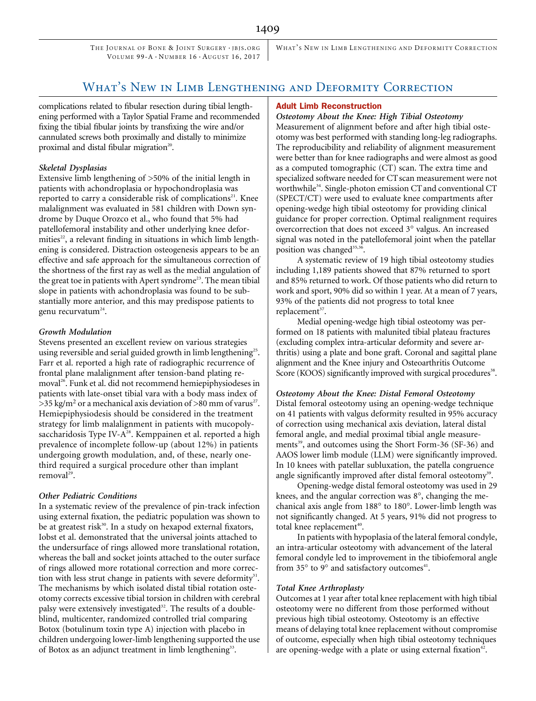THE JOURNAL OF BONE & JOINT SURGERY · JBJS. ORG VOLUME 99-A · NUMBER 16 · AUGUST 16, 2017

WHAT'S NEW IN LIMB LENGTHENING AND DEFORMITY CORRECTION

# What's New in Limb Lengthening and Deformity Correction

complications related to fibular resection during tibial lengthening performed with a Taylor Spatial Frame and recommended fixing the tibial fibular joints by transfixing the wire and/or cannulated screws both proximally and distally to minimize proximal and distal fibular migration<sup>20</sup>.

# Skeletal Dysplasias

Extensive limb lengthening of >50% of the initial length in patients with achondroplasia or hypochondroplasia was reported to carry a considerable risk of complications<sup>21</sup>. Knee malalignment was evaluated in 581 children with Down syndrome by Duque Orozco et al., who found that 5% had patellofemoral instability and other underlying knee deformities<sup>22</sup>, a relevant finding in situations in which limb lengthening is considered. Distraction osteogenesis appears to be an effective and safe approach for the simultaneous correction of the shortness of the first ray as well as the medial angulation of the great toe in patients with Apert syndrome<sup>23</sup>. The mean tibial slope in patients with achondroplasia was found to be substantially more anterior, and this may predispose patients to genu recurvatum $24$ .

# Growth Modulation

Stevens presented an excellent review on various strategies using reversible and serial guided growth in limb lengthening<sup>25</sup>. Farr et al. reported a high rate of radiographic recurrence of frontal plane malalignment after tension-band plating removal<sup>26</sup>. Funk et al. did not recommend hemiepiphysiodeses in patients with late-onset tibial vara with a body mass index of  $>$ 35 kg/m<sup>2</sup> or a mechanical axis deviation of  $>$ 80 mm of varus<sup>27</sup>. Hemiepiphysiodesis should be considered in the treatment strategy for limb malalignment in patients with mucopolysaccharidosis Type IV- $A^{28}$ . Kemppainen et al. reported a high prevalence of incomplete follow-up (about 12%) in patients undergoing growth modulation, and, of these, nearly onethird required a surgical procedure other than implant removal<sup>29</sup>.

# Other Pediatric Conditions

In a systematic review of the prevalence of pin-track infection using external fixation, the pediatric population was shown to be at greatest risk $30$ . In a study on hexapod external fixators, Iobst et al. demonstrated that the universal joints attached to the undersurface of rings allowed more translational rotation, whereas the ball and socket joints attached to the outer surface of rings allowed more rotational correction and more correction with less strut change in patients with severe deformity<sup>31</sup>. The mechanisms by which isolated distal tibial rotation osteotomy corrects excessive tibial torsion in children with cerebral palsy were extensively investigated<sup>32</sup>. The results of a doubleblind, multicenter, randomized controlled trial comparing Botox (botulinum toxin type A) injection with placebo in children undergoing lower-limb lengthening supported the use of Botox as an adjunct treatment in limb lengthening<sup>33</sup>.

#### Adult Limb Reconstruction

Osteotomy About the Knee: High Tibial Osteotomy Measurement of alignment before and after high tibial osteotomy was best performed with standing long-leg radiographs. The reproducibility and reliability of alignment measurement were better than for knee radiographs and were almost as good as a computed tomographic (CT) scan. The extra time and specialized software needed for CT scan measurement were not worthwhile<sup>34</sup>. Single-photon emission CT and conventional CT (SPECT/CT) were used to evaluate knee compartments after opening-wedge high tibial osteotomy for providing clinical guidance for proper correction. Optimal realignment requires overcorrection that does not exceed 3° valgus. An increased signal was noted in the patellofemoral joint when the patellar position was changed<sup>35,36</sup>.

A systematic review of 19 high tibial osteotomy studies including 1,189 patients showed that 87% returned to sport and 85% returned to work. Of those patients who did return to work and sport, 90% did so within 1 year. At a mean of 7 years, 93% of the patients did not progress to total knee replacement<sup>37</sup>.

Medial opening-wedge high tibial osteotomy was performed on 18 patients with malunited tibial plateau fractures (excluding complex intra-articular deformity and severe arthritis) using a plate and bone graft. Coronal and sagittal plane alignment and the Knee injury and Osteoarthritis Outcome Score (KOOS) significantly improved with surgical procedures<sup>38</sup>.

## Osteotomy About the Knee: Distal Femoral Osteotomy

Distal femoral osteotomy using an opening-wedge technique on 41 patients with valgus deformity resulted in 95% accuracy of correction using mechanical axis deviation, lateral distal femoral angle, and medial proximal tibial angle measurements<sup>39</sup>, and outcomes using the Short Form-36 (SF-36) and AAOS lower limb module (LLM) were significantly improved. In 10 knees with patellar subluxation, the patella congruence angle significantly improved after distal femoral osteotomy<sup>39</sup>.

Opening-wedge distal femoral osteotomy was used in 29 knees, and the angular correction was  $8^\circ$ , changing the mechanical axis angle from  $188^\circ$  to  $180^\circ$ . Lower-limb length was not significantly changed. At 5 years, 91% did not progress to total knee replacement<sup>40</sup>.

In patients with hypoplasia of the lateral femoral condyle, an intra-articular osteotomy with advancement of the lateral femoral condyle led to improvement in the tibiofemoral angle from  $35^{\circ}$  to  $9^{\circ}$  and satisfactory outcomes<sup>41</sup>.

## Total Knee Arthroplasty

Outcomes at 1 year after total knee replacement with high tibial osteotomy were no different from those performed without previous high tibial osteotomy. Osteotomy is an effective means of delaying total knee replacement without compromise of outcome, especially when high tibial osteotomy techniques are opening-wedge with a plate or using external fixation $42$ .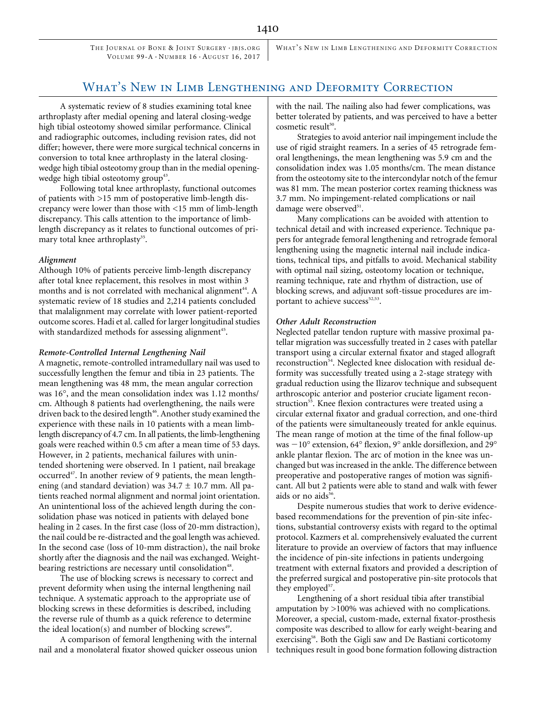THE JOURNAL OF BONE & JOINT SURGERY . JBJS. ORG VOLUME 99-A · NUMBER 16 · AUGUST 16, 2017

WHAT'S NEW IN LIMB LENGTHENING AND DEFORMITY CORRECTION

# WHAT'S NEW IN LIMB LENGTHENING AND DEFORMITY CORRECTION

A systematic review of 8 studies examining total knee arthroplasty after medial opening and lateral closing-wedge high tibial osteotomy showed similar performance. Clinical and radiographic outcomes, including revision rates, did not differ; however, there were more surgical technical concerns in conversion to total knee arthroplasty in the lateral closingwedge high tibial osteotomy group than in the medial openingwedge high tibial osteotomy group<sup>43</sup>.

Following total knee arthroplasty, functional outcomes of patients with >15 mm of postoperative limb-length discrepancy were lower than those with <15 mm of limb-length discrepancy. This calls attention to the importance of limblength discrepancy as it relates to functional outcomes of primary total knee arthroplasty<sup>35</sup>.

#### Alignment

Although 10% of patients perceive limb-length discrepancy after total knee replacement, this resolves in most within 3 months and is not correlated with mechanical alignment<sup>44</sup>. A systematic review of 18 studies and 2,214 patients concluded that malalignment may correlate with lower patient-reported outcome scores. Hadi et al. called for larger longitudinal studies with standardized methods for assessing alignment<sup>45</sup>.

#### Remote-Controlled Internal Lengthening Nail

A magnetic, remote-controlled intramedullary nail was used to successfully lengthen the femur and tibia in 23 patients. The mean lengthening was 48 mm, the mean angular correction was 16°, and the mean consolidation index was 1.12 months/ cm. Although 8 patients had overlengthening, the nails were driven back to the desired length<sup>46</sup>. Another study examined the experience with these nails in 10 patients with a mean limblength discrepancy of 4.7 cm. In all patients, the limb-lengthening goals were reached within 0.5 cm after a mean time of 53 days. However, in 2 patients, mechanical failures with unintended shortening were observed. In 1 patient, nail breakage occurred<sup>47</sup>. In another review of 9 patients, the mean lengthening (and standard deviation) was  $34.7 \pm 10.7$  mm. All patients reached normal alignment and normal joint orientation. An unintentional loss of the achieved length during the consolidation phase was noticed in patients with delayed bone healing in 2 cases. In the first case (loss of 20-mm distraction), the nail could be re-distracted and the goal length was achieved. In the second case (loss of 10-mm distraction), the nail broke shortly after the diagnosis and the nail was exchanged. Weightbearing restrictions are necessary until consolidation<sup>48</sup>.

The use of blocking screws is necessary to correct and prevent deformity when using the internal lengthening nail technique. A systematic approach to the appropriate use of blocking screws in these deformities is described, including the reverse rule of thumb as a quick reference to determine the ideal location(s) and number of blocking screws<sup>49</sup>.

A comparison of femoral lengthening with the internal nail and a monolateral fixator showed quicker osseous union with the nail. The nailing also had fewer complications, was better tolerated by patients, and was perceived to have a better cosmetic result<sup>50</sup>.

Strategies to avoid anterior nail impingement include the use of rigid straight reamers. In a series of 45 retrograde femoral lengthenings, the mean lengthening was 5.9 cm and the consolidation index was 1.05 months/cm. The mean distance from the osteotomy site to the intercondylar notch of the femur was 81 mm. The mean posterior cortex reaming thickness was 3.7 mm. No impingement-related complications or nail damage were observed<sup>51</sup>.

Many complications can be avoided with attention to technical detail and with increased experience. Technique papers for antegrade femoral lengthening and retrograde femoral lengthening using the magnetic internal nail include indications, technical tips, and pitfalls to avoid. Mechanical stability with optimal nail sizing, osteotomy location or technique, reaming technique, rate and rhythm of distraction, use of blocking screws, and adjuvant soft-tissue procedures are important to achieve success<sup>52,53</sup>.

#### Other Adult Reconstruction

Neglected patellar tendon rupture with massive proximal patellar migration was successfully treated in 2 cases with patellar transport using a circular external fixator and staged allograft reconstruction<sup>54</sup>. Neglected knee dislocation with residual deformity was successfully treated using a 2-stage strategy with gradual reduction using the Ilizarov technique and subsequent arthroscopic anterior and posterior cruciate ligament reconstruction<sup>55</sup>. Knee flexion contractures were treated using a circular external fixator and gradual correction, and one-third of the patients were simultaneously treated for ankle equinus. The mean range of motion at the time of the final follow-up was  $-10^{\circ}$  extension, 64 $^{\circ}$  flexion, 9 $^{\circ}$  ankle dorsiflexion, and 29 $^{\circ}$ ankle plantar flexion. The arc of motion in the knee was unchanged but was increased in the ankle. The difference between preoperative and postoperative ranges of motion was significant. All but 2 patients were able to stand and walk with fewer aids or no aids<sup>56</sup>.

Despite numerous studies that work to derive evidencebased recommendations for the prevention of pin-site infections, substantial controversy exists with regard to the optimal protocol. Kazmers et al. comprehensively evaluated the current literature to provide an overview of factors that may influence the incidence of pin-site infections in patients undergoing treatment with external fixators and provided a description of the preferred surgical and postoperative pin-site protocols that they employed<sup>57</sup>.

Lengthening of a short residual tibia after transtibial amputation by >100% was achieved with no complications. Moreover, a special, custom-made, external fixator-prosthesis composite was described to allow for early weight-bearing and exercising<sup>58</sup>. Both the Gigli saw and De Bastiani corticotomy techniques result in good bone formation following distraction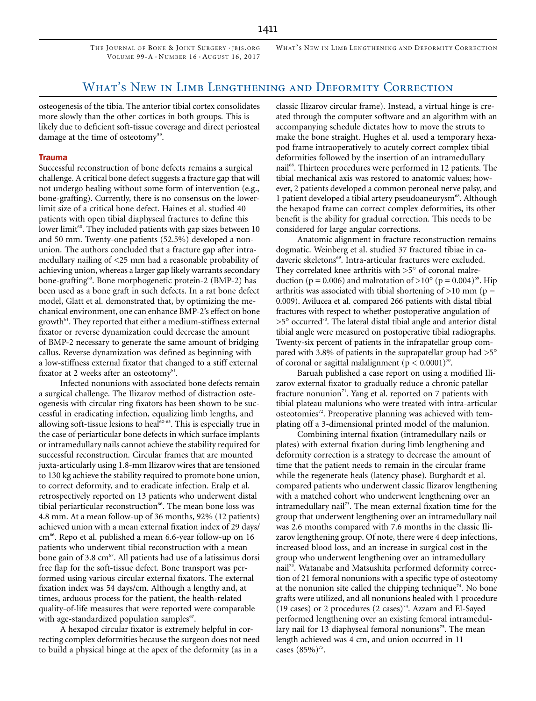THE JOURNAL OF BONE & JOINT SURGERY . JBJS. ORG VOLUME 99-A · NUMBER 16 · AUGUST 16, 2017

WHAT'S NEW IN LIMB LENGTHENING AND DEFORMITY CORRECTION

# WHAT'S NEW IN LIMB LENGTHENING AND DEFORMITY CORRECTION

osteogenesis of the tibia. The anterior tibial cortex consolidates more slowly than the other cortices in both groups. This is likely due to deficient soft-tissue coverage and direct periosteal damage at the time of osteotomy<sup>59</sup>.

## Trauma

Successful reconstruction of bone defects remains a surgical challenge. A critical bone defect suggests a fracture gap that will not undergo healing without some form of intervention (e.g., bone-grafting). Currently, there is no consensus on the lowerlimit size of a critical bone defect. Haines et al. studied 40 patients with open tibial diaphyseal fractures to define this lower limit<sup>60</sup>. They included patients with gap sizes between 10 and 50 mm. Twenty-one patients (52.5%) developed a nonunion. The authors concluded that a fracture gap after intramedullary nailing of <25 mm had a reasonable probability of achieving union, whereas a larger gap likely warrants secondary bone-grafting<sup>60</sup>. Bone morphogenetic protein-2 (BMP-2) has been used as a bone graft in such defects. In a rat bone defect model, Glatt et al. demonstrated that, by optimizing the mechanical environment, one can enhance BMP-2's effect on bone growth<sup>61</sup>. They reported that either a medium-stiffness external fixator or reverse dynamization could decrease the amount of BMP-2 necessary to generate the same amount of bridging callus. Reverse dynamization was defined as beginning with a low-stiffness external fixator that changed to a stiff external fixator at 2 weeks after an osteotomy $61$ .

Infected nonunions with associated bone defects remain a surgical challenge. The Ilizarov method of distraction osteogenesis with circular ring fixators has been shown to be successful in eradicating infection, equalizing limb lengths, and allowing soft-tissue lesions to heal<sup>62-65</sup>. This is especially true in the case of periarticular bone defects in which surface implants or intramedullary nails cannot achieve the stability required for successful reconstruction. Circular frames that are mounted juxta-articularly using 1.8-mm Ilizarov wires that are tensioned to 130 kg achieve the stability required to promote bone union, to correct deformity, and to eradicate infection. Eralp et al. retrospectively reported on 13 patients who underwent distal tibial periarticular reconstruction<sup>66</sup>. The mean bone loss was 4.8 mm. At a mean follow-up of 36 months, 92% (12 patients) achieved union with a mean external fixation index of 29 days/ cm<sup>66</sup>. Repo et al. published a mean 6.6-year follow-up on 16 patients who underwent tibial reconstruction with a mean bone gain of 3.8  $cm^{67}$ . All patients had use of a latissimus dorsi free flap for the soft-tissue defect. Bone transport was performed using various circular external fixators. The external fixation index was 54 days/cm. Although a lengthy and, at times, arduous process for the patient, the health-related quality-of-life measures that were reported were comparable with age-standardized population samples<sup>67</sup>.

A hexapod circular fixator is extremely helpful in correcting complex deformities because the surgeon does not need to build a physical hinge at the apex of the deformity (as in a

classic Ilizarov circular frame). Instead, a virtual hinge is created through the computer software and an algorithm with an accompanying schedule dictates how to move the struts to make the bone straight. Hughes et al. used a temporary hexapod frame intraoperatively to acutely correct complex tibial deformities followed by the insertion of an intramedullary nail<sup>68</sup>. Thirteen procedures were performed in 12 patients. The tibial mechanical axis was restored to anatomic values; however, 2 patients developed a common peroneal nerve palsy, and 1 patient developed a tibial artery pseudoaneurysm<sup>68</sup>. Although the hexapod frame can correct complex deformities, its other benefit is the ability for gradual correction. This needs to be considered for large angular corrections.

Anatomic alignment in fracture reconstruction remains dogmatic. Weinberg et al. studied 37 fractured tibiae in cadaveric skeletons<sup>69</sup>. Intra-articular fractures were excluded. They correlated knee arthritis with  $>5^\circ$  of coronal malreduction ( $p = 0.006$ ) and malrotation of >10° ( $p = 0.004$ )<sup>69</sup>. Hip arthritis was associated with tibial shortening of  $>10$  mm (p = 0.009). Avilucea et al. compared 266 patients with distal tibial fractures with respect to whether postoperative angulation of  $>5^\circ$  occurred<sup>70</sup>. The lateral distal tibial angle and anterior distal tibial angle were measured on postoperative tibial radiographs. Twenty-six percent of patients in the infrapatellar group compared with 3.8% of patients in the suprapatellar group had  $>5^{\circ}$ of coronal or sagittal malalignment ( $p < 0.0001$ )<sup>70</sup>.

Baruah published a case report on using a modified Ilizarov external fixator to gradually reduce a chronic patellar fracture nonunion $71$ . Yang et al. reported on 7 patients with tibial plateau malunions who were treated with intra-articular osteotomies<sup>72</sup>. Preoperative planning was achieved with templating off a 3-dimensional printed model of the malunion.

Combining internal fixation (intramedullary nails or plates) with external fixation during limb lengthening and deformity correction is a strategy to decrease the amount of time that the patient needs to remain in the circular frame while the regenerate heals (latency phase). Burghardt et al. compared patients who underwent classic Ilizarov lengthening with a matched cohort who underwent lengthening over an intramedullary nail<sup>73</sup>. The mean external fixation time for the group that underwent lengthening over an intramedullary nail was 2.6 months compared with 7.6 months in the classic Ilizarov lengthening group. Of note, there were 4 deep infections, increased blood loss, and an increase in surgical cost in the group who underwent lengthening over an intramedullary nail<sup>73</sup>. Watanabe and Matsushita performed deformity correction of 21 femoral nonunions with a specific type of osteotomy at the nonunion site called the chipping technique<sup>74</sup>. No bone grafts were utilized, and all nonunions healed with 1 procedure (19 cases) or 2 procedures (2 cases)<sup>74</sup>. Azzam and El-Sayed performed lengthening over an existing femoral intramedullary nail for 13 diaphyseal femoral nonunions $75$ . The mean length achieved was 4 cm, and union occurred in 11 cases  $(85%)^{75}$ .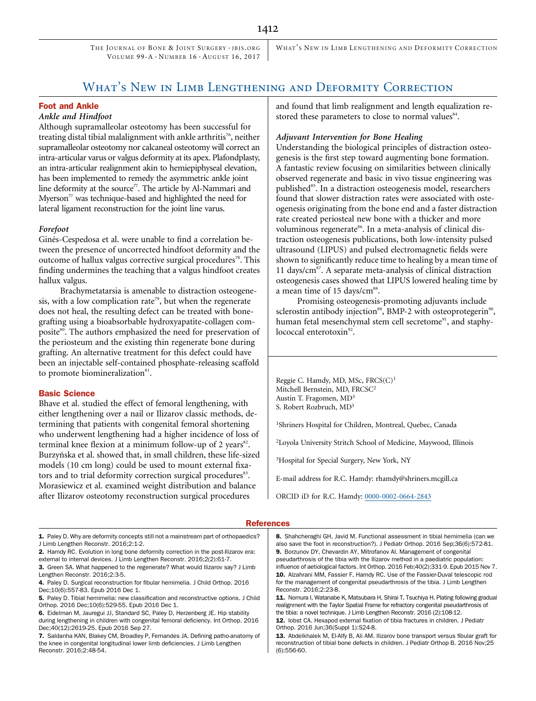THE JOURNAL OF BONE & JOINT SURGERY . IBIS. ORG VOLUME 99-A · NUMBER 16 · AUGUST 16, 2017

WHAT'S NEW IN LIMB LENGTHENING AND DEFORMITY CORRECTION

# WHAT'S NEW IN LIMB LENGTHENING AND DEFORMITY CORRECTION

## Foot and Ankle

## Ankle and Hindfoot

Although supramalleolar osteotomy has been successful for treating distal tibial malalignment with ankle arthritis<sup>76</sup>, neither supramalleolar osteotomy nor calcaneal osteotomy will correct an intra-articular varus or valgus deformity at its apex. Plafondplasty, an intra-articular realignment akin to hemiepiphyseal elevation, has been implemented to remedy the asymmetric ankle joint line deformity at the source $7$ . The article by Al-Nammari and Myerson $<sup>77</sup>$  was technique-based and highlighted the need for</sup> lateral ligament reconstruction for the joint line varus.

#### Forefoot

Ginés-Cespedosa et al. were unable to find a correlation between the presence of uncorrected hindfoot deformity and the outcome of hallux valgus corrective surgical procedures<sup>78</sup>. This finding undermines the teaching that a valgus hindfoot creates hallux valgus.

Brachymetatarsia is amenable to distraction osteogenesis, with a low complication rate<sup>79</sup>, but when the regenerate does not heal, the resulting defect can be treated with bonegrafting using a bioabsorbable hydroxyapatite-collagen composite<sup>80</sup>. The authors emphasized the need for preservation of the periosteum and the existing thin regenerate bone during grafting. An alternative treatment for this defect could have been an injectable self-contained phosphate-releasing scaffold to promote biomineralization<sup>81</sup>.

#### Basic Science

Bhave et al. studied the effect of femoral lengthening, with either lengthening over a nail or Ilizarov classic methods, determining that patients with congenital femoral shortening who underwent lengthening had a higher incidence of loss of terminal knee flexion at a minimum follow-up of 2 years<sup>82</sup>. Burzyńska et al. showed that, in small children, these life-sized models (10 cm long) could be used to mount external fixators and to trial deformity correction surgical procedures<sup>83</sup>. Morasiewicz et al. examined weight distribution and balance after Ilizarov osteotomy reconstruction surgical procedures

and found that limb realignment and length equalization restored these parameters to close to normal values<sup>84</sup>.

#### Adjuvant Intervention for Bone Healing

Understanding the biological principles of distraction osteogenesis is the first step toward augmenting bone formation. A fantastic review focusing on similarities between clinically observed regenerate and basic in vivo tissue engineering was published<sup>85</sup>. In a distraction osteogenesis model, researchers found that slower distraction rates were associated with osteogenesis originating from the bone end and a faster distraction rate created periosteal new bone with a thicker and more voluminous regenerate<sup>86</sup>. In a meta-analysis of clinical distraction osteogenesis publications, both low-intensity pulsed ultrasound (LIPUS) and pulsed electromagnetic fields were shown to significantly reduce time to healing by a mean time of 11 days/ $\text{cm}^{87}$ . A separate meta-analysis of clinical distraction osteogenesis cases showed that LIPUS lowered healing time by a mean time of 15 days/cm<sup>88</sup>.

Promising osteogenesis-promoting adjuvants include sclerostin antibody injection<sup>89</sup>, BMP-2 with osteoprotegerin<sup>90</sup>, human fetal mesenchymal stem cell secretome<sup>91</sup>, and staphylococcal enterotoxin<sup>92</sup>.

Reggie C. Hamdy, MD, MSc, FRCS(C)<sup>1</sup> Mitchell Bernstein, MD, FRCSC<sup>2</sup> Austin T. Fragomen, MD<sup>3</sup> S. Robert Rozbruch, MD3

1 Shriners Hospital for Children, Montreal, Quebec, Canada

2 Loyola University Stritch School of Medicine, Maywood, Illinois

3 Hospital for Special Surgery, New York, NY

E-mail address for R.C. Hamdy: rhamdy@shriners.mcgill.ca

ORCID iD for R.C. Hamdy: [0000-0002-0664-2843](http://orcid.org/0000-0002-0664-2843)

#### **References**

1. Paley D. Why are deformity concepts still not a mainstream part of orthopaedics? J Limb Lengthen Reconstr. 2016;2:1-2.

2. Hamdy RC. Evolution in long bone deformity correction in the post-Ilizarov era: external to internal devices. J Limb Lengthen Reconstr. 2016;2(2):61-7. 3. Green SA. What happened to the regenerate? What would Ilizarov say? J Limb

Lengthen Reconstr. 2016;2:3-5. 4. Paley D. Surgical reconstruction for fibular hemimelia. J Child Orthop. 2016 Dec;10(6):557-83. Epub 2016 Dec 1.

5. Paley D. Tibial hemimelia: new classification and reconstructive options. J Child Orthop. 2016 Dec;10(6):529-55. Epub 2016 Dec 1.

6. Eidelman M, Jauregui JJ, Standard SC, Paley D, Herzenberg JE. Hip stability during lengthening in children with congenital femoral deficiency. Int Orthop. 2016 Dec;40(12):2619-25. Epub 2016 Sep 27.

7. Saldanha KAN, Blakey CM, Broadley P, Fernandes JA. Defining patho-anatomy of the knee in congenital longitudinal lower limb deficiencies. J Limb Lengthen Reconstr. 2016;2:48-54.

8. Shahcheraghi GH, Javid M. Functional assessment in tibial hemimelia (can we also save the foot in reconstruction?). J Pediatr Orthop. 2016 Sep;36(6):572-81. 9. Borzunov DY, Chevardin AY, Mitrofanov AI. Management of congenital pseudarthrosis of the tibia with the Ilizarov method in a paediatric population: influence of aetiological factors. Int Orthop. 2016 Feb;40(2):331-9. Epub 2015 Nov 7. 10. Alzahrani MM, Fassier F, Hamdy RC. Use of the Fassier-Duval telescopic rod for the management of congenital pseudarthrosis of the tibia. J Limb Lengthen Reconstr. 2016;2:23-8.

11. Nomura I, Watanabe K, Matsubara H, Shirai T, Tsuchiya H. Plating following gradual realignment with the Taylor Spatial Frame for refractory congenital pseudarthrosis of the tibia: a novel technique. J Limb Lengthen Reconstr. 2016 (2):108-12.

12. lobst CA. Hexapod external fixation of tibia fractures in children. J Pediatr Orthop. 2016 Jun;36(Suppl 1):S24-8.

13. Abdelkhalek M, El-Alfy B, Ali AM. Ilizarov bone transport versus fibular graft for reconstruction of tibial bone defects in children. J Pediatr Orthop B. 2016 Nov;25 (6):556-60.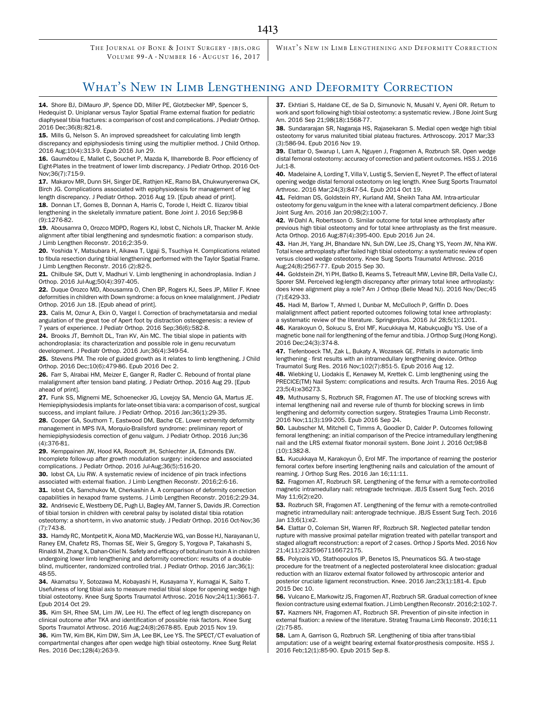THE JOURNAL OF BONE & JOINT SURGERY · IBIS. ORG VOLUME 99-A · NUMBER 16 · AUGUST 16, 2017

WHAT'S NEW IN LIMB LENGTHENING AND DEFORMITY CORRECTION

# WHAT'S NEW IN LIMB LENGTHENING AND DEFORMITY CORRECTION

14. Shore BJ, DiMauro JP, Spence DD, Miller PE, Glotzbecker MP, Spencer S, Hedequist D. Uniplanar versus Taylor Spatial Frame external fixation for pediatric diaphyseal tibia fractures: a comparison of cost and complications. J Pediatr Orthop. 2016 Dec;36(8):821-8.

15. Mills G, Nelson S. An improved spreadsheet for calculating limb length discrepancy and epiphysiodesis timing using the multiplier method. J Child Orthop. 2016 Aug;10(4):313-9. Epub 2016 Jun 29.

16. Gaumétou E, Mallet C, Souchet P, Mazda K, Ilharreborde B. Poor efficiency of Eight-Plates in the treatment of lower limb discrepancy. J Pediatr Orthop. 2016 Oct-Nov;36(7):715-9.

17. Makarov MR, Dunn SH, Singer DE, Rathjen KE, Ramo BA, Chukwunyerenwa CK, Birch JG. Complications associated with epiphysiodesis for management of leg length discrepancy. J Pediatr Orthop. 2016 Aug 19. [Epub ahead of print].

18. Donnan LT, Gomes B, Donnan A, Harris C, Torode I, Heidt C. Ilizarov tibial lengthening in the skeletally immature patient. Bone Joint J. 2016 Sep;98-B (9):1276-82.

19. Abousamra O, Orozco MDPD, Rogers KJ, Iobst C, Nichols LR, Thacker M. Ankle alignment after tibial lengthening and syndesmotic fixation: a comparison study. J Limb Lengthen Reconstr. 2016;2:35-9.

20. Yoshida Y, Matsubara H, Aikawa T, Ugaji S, Tsuchiya H. Complications related to fibula resection during tibial lengthening performed with the Taylor Spatial Frame. J Limb Lengthen Reconstr. 2016 (2):82-5.

21. Chilbule SK, Dutt V, Madhuri V. Limb lengthening in achondroplasia. Indian J Orthop. 2016 Jul-Aug;50(4):397-405.

22. Duque Orozco MD, Abousamra O, Chen BP, Rogers KJ, Sees JP, Miller F. Knee deformities in children with Down syndrome: a focus on knee malalignment. J Pediatr Orthop. 2016 Jun 18. [Epub ahead of print].

23. Calis M, Oznur A, Ekin O, Vargel I. Correction of brachymetatarsia and medial angulation of the great toe of Apert foot by distraction osteogenesis: a review of 7 years of experience. J Pediatr Orthop. 2016 Sep;36(6):582-8.

24. Brooks JT, Bernholt DL, Tran KV, Ain MC. The tibial slope in patients with achondroplasia: its characterization and possible role in genu recurvatum development. J Pediatr Orthop. 2016 Jun;36(4):349-54.

25. Stevens PM. The role of guided growth as it relates to limb lengthening. J Child Orthop. 2016 Dec;10(6):479-86. Epub 2016 Dec 2.

26. Farr S, Alrabai HM, Meizer E, Ganger R, Radler C. Rebound of frontal plane malalignment after tension band plating. J Pediatr Orthop. 2016 Aug 29. [Epub ahead of print].

27. Funk SS, Mignemi ME, Schoenecker JG, Lovejoy SA, Mencio GA, Martus JE. Hemiepiphysiodesis implants for late-onset tibia vara: a comparison of cost, surgical success, and implant failure. J Pediatr Orthop. 2016 Jan;36(1):29-35.

28. Cooper GA, Southorn T, Eastwood DM, Bache CE. Lower extremity deformity management in MPS IVA, Morquio-Brailsford syndrome: preliminary report of hemiepiphysiodesis correction of genu valgum. J Pediatr Orthop. 2016 Jun;36 (4):376-81.

29. Kemppainen JW, Hood KA, Roocroft JH, Schlechter JA, Edmonds EW. Incomplete follow-up after growth modulation surgery: incidence and associated complications. J Pediatr Orthop. 2016 Jul-Aug;36(5):516-20.

30. Iobst CA, Liu RW. A systematic review of incidence of pin track infections associated with external fixation. J Limb Lengthen Reconstr. 2016;2:6-16. 31. lobst CA, Samchukov M, Cherkashin A. A comparison of deformity correction capabilities in hexapod frame systems. J Limb Lengthen Reconstr. 2016;2:29-34. 32. Andrisevic E, Westberry DE, Pugh LI, Bagley AM, Tanner S, Davids JR. Correction of tibial torsion in children with cerebral palsy by isolated distal tibia rotation osteotomy: a short-term, in vivo anatomic study. J Pediatr Orthop. 2016 Oct-Nov;36 (7):743-8.

33. Hamdy RC, Montpetit K, Aiona MD, MacKenzie WG, van Bosse HJ, Narayanan U, Raney EM, Chafetz RS, Thomas SE, Weir S, Gregory S, Yorgova P, Takahashi S, Rinaldi M, Zhang X, Dahan-Oliel N. Safety and efficacy of botulinum toxin A in children undergoing lower limb lengthening and deformity correction: results of a doubleblind, multicenter, randomized controlled trial. J Pediatr Orthop. 2016 Jan;36(1): 48-55.

34. Akamatsu Y, Sotozawa M, Kobayashi H, Kusayama Y, Kumagai K, Saito T. Usefulness of long tibial axis to measure medial tibial slope for opening wedge high tibial osteotomy. Knee Surg Sports Traumatol Arthrosc. 2016 Nov;24(11):3661-7. Epub 2014 Oct 29.

35. Kim SH, Rhee SM, Lim JW, Lee HJ. The effect of leg length discrepancy on clinical outcome after TKA and identification of possible risk factors. Knee Surg Sports Traumatol Arthrosc. 2016 Aug;24(8):2678-85. Epub 2015 Nov 19. 36. Kim TW, Kim BK, Kim DW, Sim JA, Lee BK, Lee YS. The SPECT/CT evaluation of

compartmental changes after open wedge high tibial osteotomy. Knee Surg Relat Res. 2016 Dec;128(4):263-9.

37. Ekhtiari S, Haldane CE, de Sa D, Simunovic N, Musahl V, Ayeni OR. Return to work and sport following high tibial osteotomy: a systematic review. J Bone Joint Surg Am. 2016 Sep 21;98(18):1568-77.

38. Sundararajan SR, Nagaraja HS, Rajasekaran S. Medial open wedge high tibial osteotomy for varus malunited tibial plateau fractures. Arthroscopy. 2017 Mar;33 (3):586-94. Epub 2016 Nov 19.

39. Elattar O, Swarup I, Lam A, Nguyen J, Fragomen A, Rozbruch SR. Open wedge distal femoral osteotomy: accuracy of correction and patient outcomes. HSS J. 2016 Jul;1-8.

40. Madelaine A, Lording T, Villa V, Lustig S, Servien E, Neyret P. The effect of lateral opening wedge distal femoral osteotomy on leg length. Knee Surg Sports Traumatol Arthrosc. 2016 Mar;24(3):847-54. Epub 2014 Oct 19.

41. Feldman DS, Goldstein RY, Kurland AM, Sheikh Taha AM. Intra-articular osteotomy for genu valgum in the knee with a lateral compartment deficiency. J Bone Joint Surg Am. 2016 Jan 20;98(2):100-7.

42. W-Dahl A, Robertsson O. Similar outcome for total knee arthroplasty after previous high tibial osteotomy and for total knee arthroplasty as the first measure. Acta Orthop. 2016 Aug;87(4):395-400. Epub 2016 Jun 24.

43. Han JH, Yang JH, Bhandare NN, Suh DW, Lee JS, Chang YS, Yeom JW, Nha KW. Total knee arthroplasty after failed high tibial osteotomy: a systematic review of open versus closed wedge osteotomy. Knee Surg Sports Traumatol Arthrosc. 2016 Aug;24(8):2567-77. Epub 2015 Sep 30.

44. Goldstein ZH, Yi PH, Batko B, Kearns S, Tetreault MW, Levine BR, Della Valle CJ, Sporer SM. Perceived leg-length discrepancy after primary total knee arthroplasty: does knee alignment play a role? Am J Orthop (Belle Mead NJ). 2016 Nov/Dec;45 (7):E429-33.

45. Hadi M, Barlow T, Ahmed I, Dunbar M, McCulloch P, Griffin D. Does malalignment affect patient reported outcomes following total knee arthroplasty: a systematic review of the literature. Springerplus. 2016 Jul 28;5(1):1201.

46. Karakoyun O, Sokucu S, Erol MF, Kucukkaya M, Kabukçuoğlu YS. Use of a magnetic bone nail for lengthening of the femur and tibia. J Orthop Surg (Hong Kong). 2016 Dec;24(3):374-8.

47. Tiefenboeck TM, Zak L, Bukaty A, Wozasek GE. Pitfalls in automatic limb lengthening - first results with an intramedullary lengthening device. Orthop Traumatol Surg Res. 2016 Nov;102(7):851-5. Epub 2016 Aug 12.

48. Wiebking U, Liodakis E, Kenawey M, Krettek C. Limb lengthening using the PRECICE(TM) Nail System: complications and results. Arch Trauma Res. 2016 Aug 23;5(4):e36273.

49. Muthusamy S, Rozbruch SR, Fragomen AT. The use of blocking screws with internal lengthening nail and reverse rule of thumb for blocking screws in limb lengthening and deformity correction surgery. Strategies Trauma Limb Reconstr. 2016 Nov;11(3):199-205. Epub 2016 Sep 24.

50. Laubscher M, Mitchell C, Timms A, Goodier D, Calder P. Outcomes following femoral lengthening: an initial comparison of the Precice intramedullary lengthening nail and the LRS external fixator monorail system. Bone Joint J. 2016 Oct;98-B (10):1382-8.

51. Kucukkaya M, Karakoyun Ö, Erol MF. The importance of reaming the posterior femoral cortex before inserting lengthening nails and calculation of the amount of reaming. J Orthop Surg Res. 2016 Jan 16;11:11.

52. Fragomen AT, Rozbruch SR. Lengthening of the femur with a remote-controlled magnetic intramedullary nail: retrograde technique. JBJS Essent Surg Tech. 2016 May 11;6(2):e20.

53. Rozbruch SR, Fragomen AT. Lengthening of the femur with a remote-controlled magnetic intramedullary nail: anterograde technique. JBJS Essent Surg Tech. 2016 Jan 13;6(1):e2.

54. Elattar O, Coleman SH, Warren RF, Rozbruch SR. Neglected patellar tendon rupture with massive proximal patellar migration treated with patellar transport and staged allograft reconstruction: a report of 2 cases. Orthop J Sports Med. 2016 Nov 21;4(11):2325967116672175.

55. Polyzois VD, Stathopoulos IP, Benetos IS, Pneumaticos SG. A two-stage procedure for the treatment of a neglected posterolateral knee dislocation: gradual reduction with an Ilizarov external fixator followed by arthroscopic anterior and posterior cruciate ligament reconstruction. Knee. 2016 Jan;23(1):181-4. Epub 2015 Dec 10.

56. Vulcano E, Markowitz JS, Fragomen AT, Rozbruch SR. Gradual correction of knee flexion contracture using external fixation. J Limb Lengthen Reconstr. 2016;2:102-7. 57. Kazmers NH, Fragomen AT, Rozbruch SR. Prevention of pin-site infection in external fixation: a review of the literature. Strateg Trauma Limb Reconstr. 2016;11 (2):75-85.

58. Lam A, Garrison G, Rozbruch SR. Lengthening of tibia after trans-tibial amputation: use of a weight bearing external fixator-prosthesis composite. HSS J. 2016 Feb;12(1):85-90. Epub 2015 Sep 8.